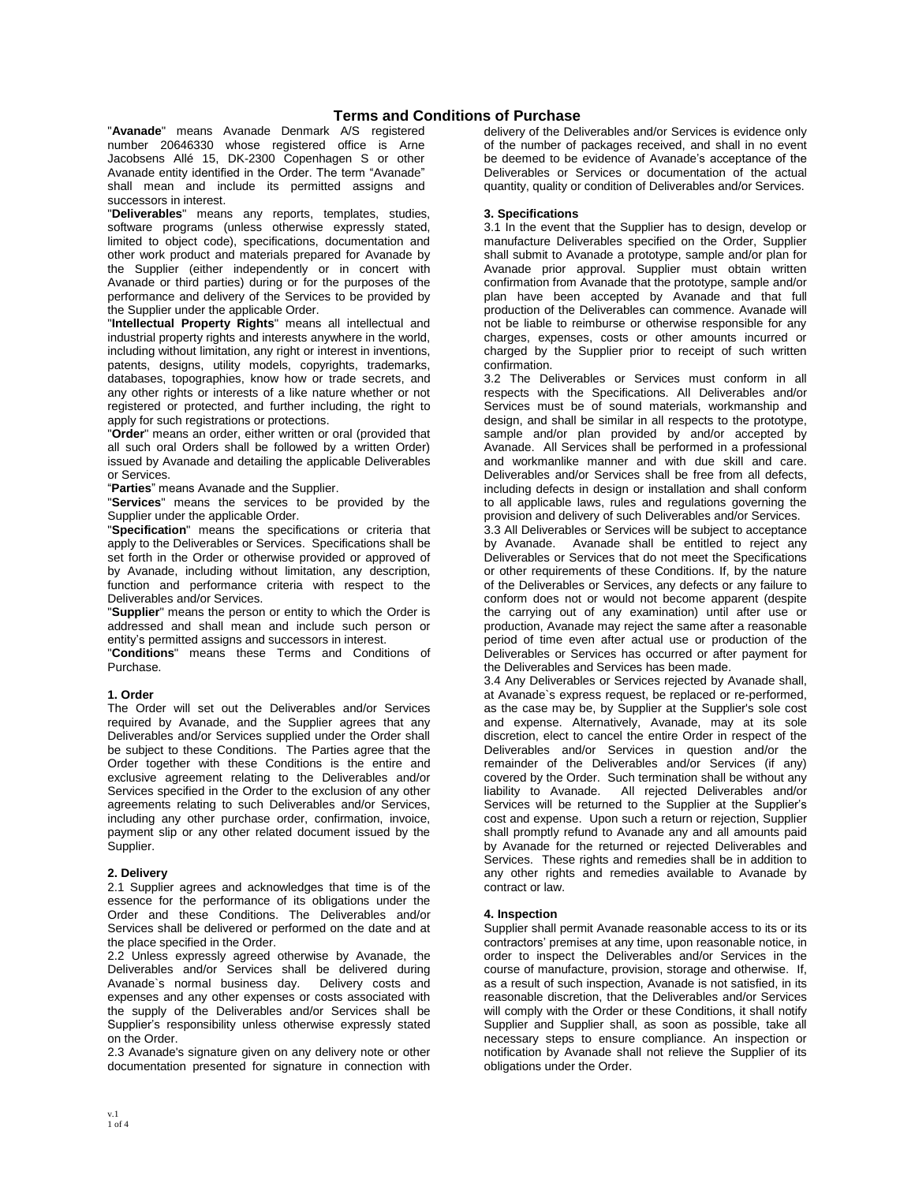# **Terms and Conditions of Purchase**

"**Avanade**" means Avanade Denmark A/S registered number 20646330 whose registered office is Arne Jacobsens Allé 15, DK-2300 Copenhagen S or other Avanade entity identified in the Order. The term "Avanade" shall mean and include its permitted assigns and successors in interest.

"**Deliverables**" means any reports, templates, studies, software programs (unless otherwise expressly stated, limited to object code), specifications, documentation and other work product and materials prepared for Avanade by the Supplier (either independently or in concert with Avanade or third parties) during or for the purposes of the performance and delivery of the Services to be provided by the Supplier under the applicable Order.

"**Intellectual Property Rights**" means all intellectual and industrial property rights and interests anywhere in the world, including without limitation, any right or interest in inventions, patents, designs, utility models, copyrights, trademarks, databases, topographies, know how or trade secrets, and any other rights or interests of a like nature whether or not registered or protected, and further including, the right to apply for such registrations or protections.

"**Order**" means an order, either written or oral (provided that all such oral Orders shall be followed by a written Order) issued by Avanade and detailing the applicable Deliverables or Services.

"**Parties**" means Avanade and the Supplier.

"**Services**" means the services to be provided by the Supplier under the applicable Order.

"**Specification**" means the specifications or criteria that apply to the Deliverables or Services. Specifications shall be set forth in the Order or otherwise provided or approved of by Avanade, including without limitation, any description, function and performance criteria with respect to the Deliverables and/or Services.

"**Supplier**" means the person or entity to which the Order is addressed and shall mean and include such person or entity's permitted assigns and successors in interest.

"**Conditions**" means these Terms and Conditions of Purchase.

# **1. Order**

The Order will set out the Deliverables and/or Services required by Avanade, and the Supplier agrees that any Deliverables and/or Services supplied under the Order shall be subject to these Conditions. The Parties agree that the Order together with these Conditions is the entire and exclusive agreement relating to the Deliverables and/or Services specified in the Order to the exclusion of any other agreements relating to such Deliverables and/or Services, including any other purchase order, confirmation, invoice, payment slip or any other related document issued by the Supplier.

#### **2. Delivery**

2.1 Supplier agrees and acknowledges that time is of the essence for the performance of its obligations under the Order and these Conditions. The Deliverables and/or Services shall be delivered or performed on the date and at the place specified in the Order.

2.2 Unless expressly agreed otherwise by Avanade, the Deliverables and/or Services shall be delivered during Avanade`s normal business day. Delivery costs and expenses and any other expenses or costs associated with the supply of the Deliverables and/or Services shall be Supplier's responsibility unless otherwise expressly stated on the Order.

2.3 Avanade's signature given on any delivery note or other documentation presented for signature in connection with delivery of the Deliverables and/or Services is evidence only of the number of packages received, and shall in no event be deemed to be evidence of Avanade's acceptance of the Deliverables or Services or documentation of the actual quantity, quality or condition of Deliverables and/or Services.

## **3. Specifications**

3.1 In the event that the Supplier has to design, develop or manufacture Deliverables specified on the Order, Supplier shall submit to Avanade a prototype, sample and/or plan for Avanade prior approval. Supplier must obtain written confirmation from Avanade that the prototype, sample and/or plan have been accepted by Avanade and that full production of the Deliverables can commence. Avanade will not be liable to reimburse or otherwise responsible for any charges, expenses, costs or other amounts incurred or charged by the Supplier prior to receipt of such written confirmation.

3.2 The Deliverables or Services must conform in all respects with the Specifications. All Deliverables and/or Services must be of sound materials, workmanship and design, and shall be similar in all respects to the prototype, sample and/or plan provided by and/or accepted by Avanade. All Services shall be performed in a professional and workmanlike manner and with due skill and care. Deliverables and/or Services shall be free from all defects, including defects in design or installation and shall conform to all applicable laws, rules and regulations governing the provision and delivery of such Deliverables and/or Services.

3.3 All Deliverables or Services will be subject to acceptance by Avanade. Avanade shall be entitled to reject any Deliverables or Services that do not meet the Specifications or other requirements of these Conditions. If, by the nature of the Deliverables or Services, any defects or any failure to conform does not or would not become apparent (despite the carrying out of any examination) until after use or production, Avanade may reject the same after a reasonable period of time even after actual use or production of the Deliverables or Services has occurred or after payment for the Deliverables and Services has been made.

3.4 Any Deliverables or Services rejected by Avanade shall, at Avanade`s express request, be replaced or re-performed, as the case may be, by Supplier at the Supplier's sole cost and expense. Alternatively, Avanade, may at its sole discretion, elect to cancel the entire Order in respect of the Deliverables and/or Services in question and/or the remainder of the Deliverables and/or Services (if any) covered by the Order. Such termination shall be without any liability to Avanade. All rejected Deliverables and/or Services will be returned to the Supplier at the Supplier's cost and expense. Upon such a return or rejection, Supplier shall promptly refund to Avanade any and all amounts paid by Avanade for the returned or rejected Deliverables and Services. These rights and remedies shall be in addition to any other rights and remedies available to Avanade by contract or law.

# **4. Inspection**

Supplier shall permit Avanade reasonable access to its or its contractors' premises at any time, upon reasonable notice, in order to inspect the Deliverables and/or Services in the course of manufacture, provision, storage and otherwise. If, as a result of such inspection, Avanade is not satisfied, in its reasonable discretion, that the Deliverables and/or Services will comply with the Order or these Conditions, it shall notify Supplier and Supplier shall, as soon as possible, take all necessary steps to ensure compliance. An inspection or notification by Avanade shall not relieve the Supplier of its obligations under the Order.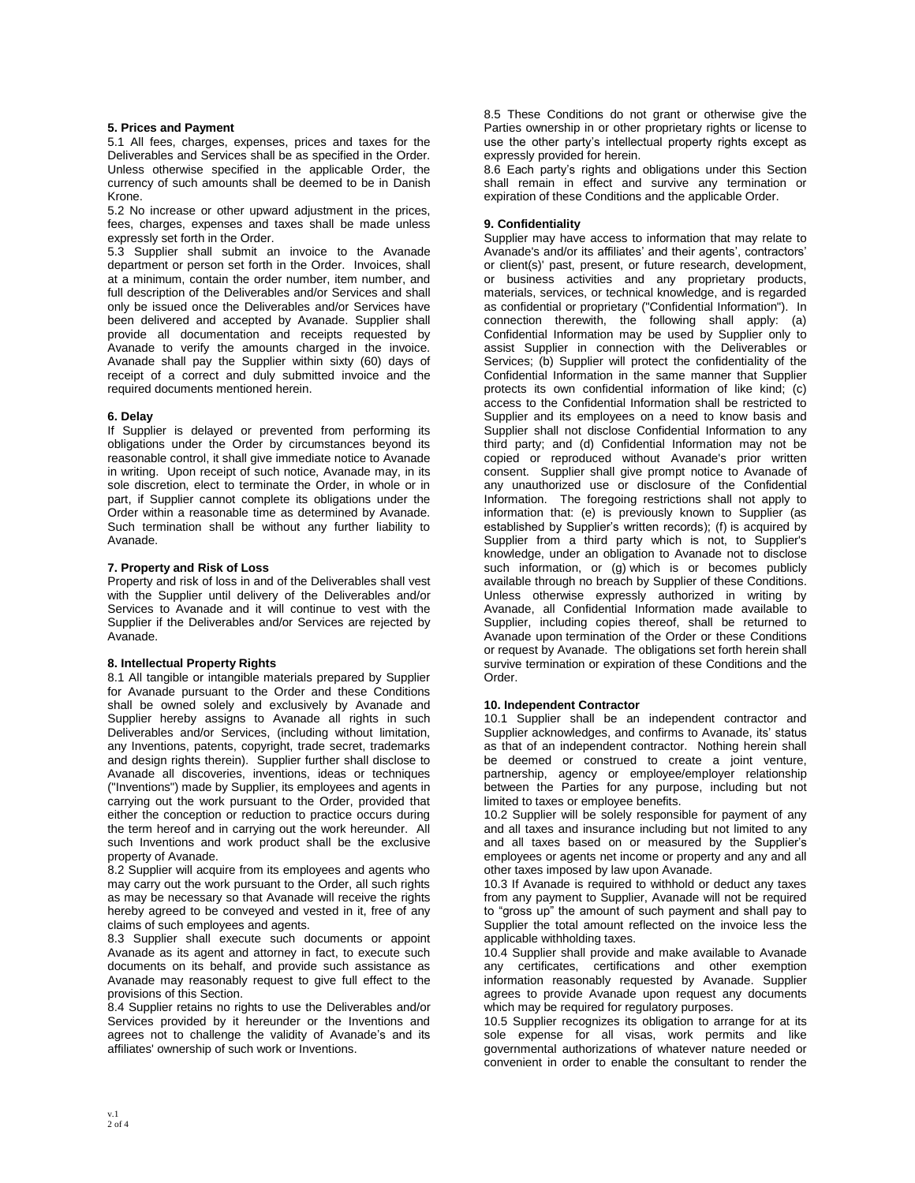#### **5. Prices and Payment**

5.1 All fees, charges, expenses, prices and taxes for the Deliverables and Services shall be as specified in the Order. Unless otherwise specified in the applicable Order, the currency of such amounts shall be deemed to be in Danish Krone.

5.2 No increase or other upward adjustment in the prices, fees, charges, expenses and taxes shall be made unless expressly set forth in the Order.

5.3 Supplier shall submit an invoice to the Avanade department or person set forth in the Order. Invoices, shall at a minimum, contain the order number, item number, and full description of the Deliverables and/or Services and shall only be issued once the Deliverables and/or Services have been delivered and accepted by Avanade. Supplier shall provide all documentation and receipts requested by Avanade to verify the amounts charged in the invoice. Avanade shall pay the Supplier within sixty (60) days of receipt of a correct and duly submitted invoice and the required documents mentioned herein.

### **6. Delay**

If Supplier is delayed or prevented from performing its obligations under the Order by circumstances beyond its reasonable control, it shall give immediate notice to Avanade in writing. Upon receipt of such notice, Avanade may, in its sole discretion, elect to terminate the Order, in whole or in part, if Supplier cannot complete its obligations under the Order within a reasonable time as determined by Avanade. Such termination shall be without any further liability to Avanade.

### **7. Property and Risk of Loss**

Property and risk of loss in and of the Deliverables shall vest with the Supplier until delivery of the Deliverables and/or Services to Avanade and it will continue to vest with the Supplier if the Deliverables and/or Services are rejected by Avanade.

# **8. Intellectual Property Rights**

8.1 All tangible or intangible materials prepared by Supplier for Avanade pursuant to the Order and these Conditions shall be owned solely and exclusively by Avanade and Supplier hereby assigns to Avanade all rights in such Deliverables and/or Services, (including without limitation, any Inventions, patents, copyright, trade secret, trademarks and design rights therein). Supplier further shall disclose to Avanade all discoveries, inventions, ideas or techniques ("Inventions") made by Supplier, its employees and agents in carrying out the work pursuant to the Order, provided that either the conception or reduction to practice occurs during the term hereof and in carrying out the work hereunder. All such Inventions and work product shall be the exclusive property of Avanade.

8.2 Supplier will acquire from its employees and agents who may carry out the work pursuant to the Order, all such rights as may be necessary so that Avanade will receive the rights hereby agreed to be conveyed and vested in it, free of any claims of such employees and agents.

8.3 Supplier shall execute such documents or appoint Avanade as its agent and attorney in fact, to execute such documents on its behalf, and provide such assistance as Avanade may reasonably request to give full effect to the provisions of this Section.

8.4 Supplier retains no rights to use the Deliverables and/or Services provided by it hereunder or the Inventions and agrees not to challenge the validity of Avanade's and its affiliates' ownership of such work or Inventions.

8.5 These Conditions do not grant or otherwise give the Parties ownership in or other proprietary rights or license to use the other party's intellectual property rights except as expressly provided for herein.

8.6 Each party's rights and obligations under this Section shall remain in effect and survive any termination or expiration of these Conditions and the applicable Order.

## **9. Confidentiality**

Supplier may have access to information that may relate to Avanade's and/or its affiliates' and their agents', contractors' or client(s)' past, present, or future research, development, or business activities and any proprietary products, materials, services, or technical knowledge, and is regarded as confidential or proprietary ("Confidential Information"). In connection therewith, the following shall apply:  $(a)$ Confidential Information may be used by Supplier only to assist Supplier in connection with the Deliverables or Services; (b) Supplier will protect the confidentiality of the Confidential Information in the same manner that Supplier protects its own confidential information of like kind; (c) access to the Confidential Information shall be restricted to Supplier and its employees on a need to know basis and Supplier shall not disclose Confidential Information to any third party; and (d) Confidential Information may not be copied or reproduced without Avanade's prior written consent. Supplier shall give prompt notice to Avanade of any unauthorized use or disclosure of the Confidential Information. The foregoing restrictions shall not apply to information that: (e) is previously known to Supplier (as established by Supplier's written records); (f) is acquired by Supplier from a third party which is not, to Supplier's knowledge, under an obligation to Avanade not to disclose such information, or (g) which is or becomes publicly available through no breach by Supplier of these Conditions. Unless otherwise expressly authorized in writing by Avanade, all Confidential Information made available to Supplier, including copies thereof, shall be returned to Avanade upon termination of the Order or these Conditions or request by Avanade. The obligations set forth herein shall survive termination or expiration of these Conditions and the Order.

#### **10. Independent Contractor**

10.1 Supplier shall be an independent contractor and Supplier acknowledges, and confirms to Avanade, its' status as that of an independent contractor. Nothing herein shall be deemed or construed to create a joint venture, partnership, agency or employee/employer relationship between the Parties for any purpose, including but not limited to taxes or employee benefits.

10.2 Supplier will be solely responsible for payment of any and all taxes and insurance including but not limited to any and all taxes based on or measured by the Supplier's employees or agents net income or property and any and all other taxes imposed by law upon Avanade.

10.3 If Avanade is required to withhold or deduct any taxes from any payment to Supplier, Avanade will not be required to "gross up" the amount of such payment and shall pay to Supplier the total amount reflected on the invoice less the applicable withholding taxes.

10.4 Supplier shall provide and make available to Avanade any certificates, certifications and other exemption information reasonably requested by Avanade. Supplier agrees to provide Avanade upon request any documents which may be required for regulatory purposes.

10.5 Supplier recognizes its obligation to arrange for at its sole expense for all visas, work permits and like governmental authorizations of whatever nature needed or convenient in order to enable the consultant to render the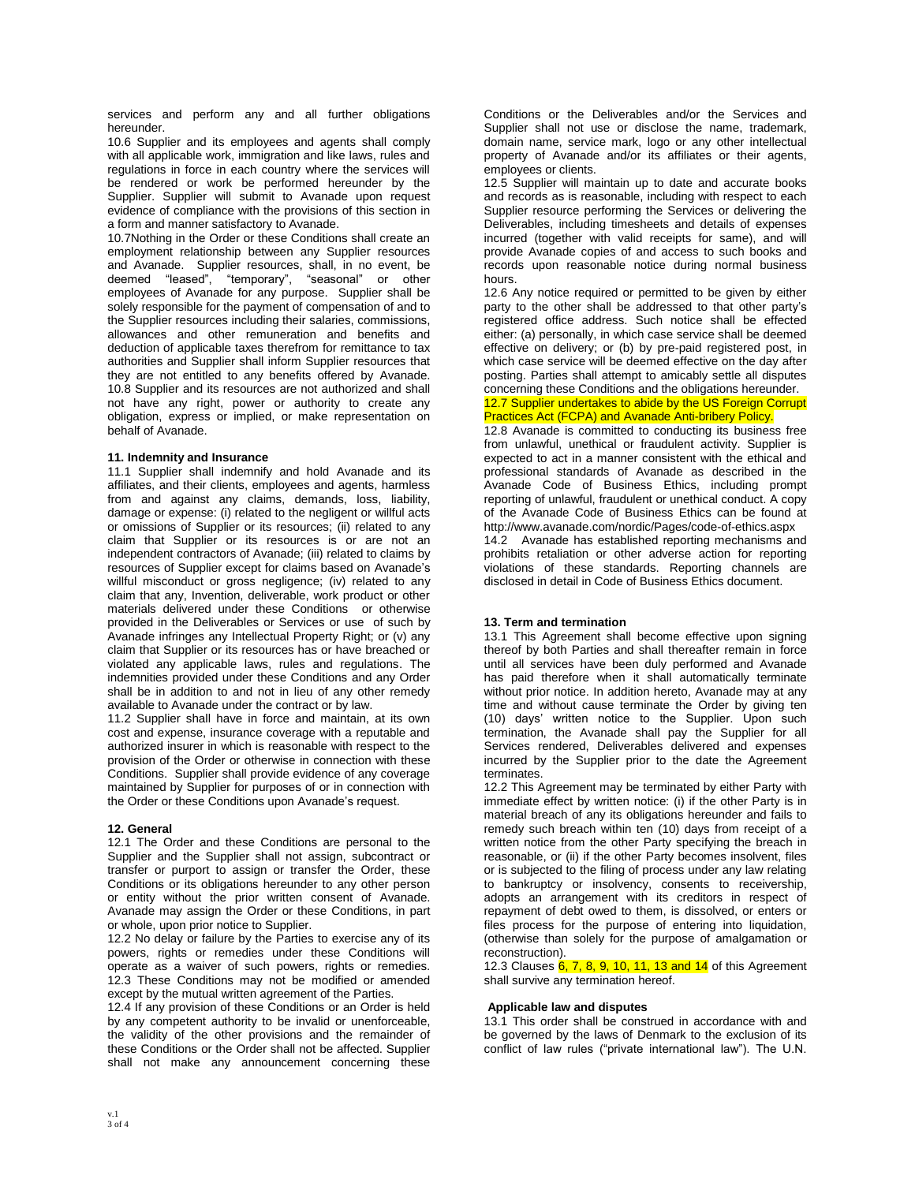services and perform any and all further obligations hereunder.

10.6 Supplier and its employees and agents shall comply with all applicable work, immigration and like laws, rules and regulations in force in each country where the services will be rendered or work be performed hereunder by the Supplier. Supplier will submit to Avanade upon request evidence of compliance with the provisions of this section in a form and manner satisfactory to Avanade.

10.7Nothing in the Order or these Conditions shall create an employment relationship between any Supplier resources and Avanade. Supplier resources, shall, in no event, be deemed "leased", "temporary", "seasonal" or other employees of Avanade for any purpose. Supplier shall be solely responsible for the payment of compensation of and to the Supplier resources including their salaries, commissions, allowances and other remuneration and benefits and deduction of applicable taxes therefrom for remittance to tax authorities and Supplier shall inform Supplier resources that they are not entitled to any benefits offered by Avanade. 10.8 Supplier and its resources are not authorized and shall not have any right, power or authority to create any obligation, express or implied, or make representation on behalf of Avanade.

### **11. Indemnity and Insurance**

11.1 Supplier shall indemnify and hold Avanade and its affiliates, and their clients, employees and agents, harmless from and against any claims, demands, loss, liability, damage or expense: (i) related to the negligent or willful acts or omissions of Supplier or its resources; (ii) related to any claim that Supplier or its resources is or are not an independent contractors of Avanade; (iii) related to claims by resources of Supplier except for claims based on Avanade's willful misconduct or gross negligence; (iv) related to any claim that any, Invention, deliverable, work product or other materials delivered under these Conditions or otherwise provided in the Deliverables or Services or use of such by Avanade infringes any Intellectual Property Right; or (v) any claim that Supplier or its resources has or have breached or violated any applicable laws, rules and regulations. The indemnities provided under these Conditions and any Order shall be in addition to and not in lieu of any other remedy available to Avanade under the contract or by law.

11.2 Supplier shall have in force and maintain, at its own cost and expense, insurance coverage with a reputable and authorized insurer in which is reasonable with respect to the provision of the Order or otherwise in connection with these Conditions. Supplier shall provide evidence of any coverage maintained by Supplier for purposes of or in connection with the Order or these Conditions upon Avanade's request.

# **12. General**

12.1 The Order and these Conditions are personal to the Supplier and the Supplier shall not assign, subcontract or transfer or purport to assign or transfer the Order, these Conditions or its obligations hereunder to any other person or entity without the prior written consent of Avanade. Avanade may assign the Order or these Conditions, in part or whole, upon prior notice to Supplier.

12.2 No delay or failure by the Parties to exercise any of its powers, rights or remedies under these Conditions will operate as a waiver of such powers, rights or remedies. 12.3 These Conditions may not be modified or amended except by the mutual written agreement of the Parties.

12.4 If any provision of these Conditions or an Order is held by any competent authority to be invalid or unenforceable, the validity of the other provisions and the remainder of these Conditions or the Order shall not be affected. Supplier shall not make any announcement concerning these Conditions or the Deliverables and/or the Services and Supplier shall not use or disclose the name, trademark, domain name, service mark, logo or any other intellectual property of Avanade and/or its affiliates or their agents, employees or clients.

12.5 Supplier will maintain up to date and accurate books and records as is reasonable, including with respect to each Supplier resource performing the Services or delivering the Deliverables, including timesheets and details of expenses incurred (together with valid receipts for same), and will provide Avanade copies of and access to such books and records upon reasonable notice during normal business hours.

12.6 Any notice required or permitted to be given by either party to the other shall be addressed to that other party's registered office address. Such notice shall be effected either: (a) personally, in which case service shall be deemed effective on delivery; or (b) by pre-paid registered post, in which case service will be deemed effective on the day after posting. Parties shall attempt to amicably settle all disputes concerning these Conditions and the obligations hereunder.

## 12.7 Supplier undertakes to abide by the US Foreign Corrupt Practices Act (FCPA) and Avanade Anti-bribery Policy.

12.8 Avanade is committed to conducting its business free from unlawful, unethical or fraudulent activity. Supplier is expected to act in a manner consistent with the ethical and professional standards of Avanade as described in the Avanade Code of Business Ethics, including prompt reporting of unlawful, fraudulent or unethical conduct. A copy of the Avanade Code of Business Ethics can be found at http://www.avanade.com/nordic/Pages/code-of-ethics.aspx 14.2 Avanade has established reporting mechanisms and prohibits retaliation or other adverse action for reporting

violations of these standards. Reporting channels are disclosed in detail in Code of Business Ethics document.

# **13. Term and termination**

13.1 This Agreement shall become effective upon signing thereof by both Parties and shall thereafter remain in force until all services have been duly performed and Avanade has paid therefore when it shall automatically terminate without prior notice. In addition hereto, Avanade may at any time and without cause terminate the Order by giving ten (10) days' written notice to the Supplier. Upon such termination, the Avanade shall pay the Supplier for all Services rendered, Deliverables delivered and expenses incurred by the Supplier prior to the date the Agreement terminates.

12.2 This Agreement may be terminated by either Party with immediate effect by written notice: (i) if the other Party is in material breach of any its obligations hereunder and fails to remedy such breach within ten (10) days from receipt of a written notice from the other Party specifying the breach in reasonable, or (ii) if the other Party becomes insolvent, files or is subjected to the filing of process under any law relating to bankruptcy or insolvency, consents to receivership, adopts an arrangement with its creditors in respect of repayment of debt owed to them, is dissolved, or enters or files process for the purpose of entering into liquidation, (otherwise than solely for the purpose of amalgamation or reconstruction).

12.3 Clauses  $6, 7, 8, 9, 10, 11, 13$  and  $14$  of this Agreement shall survive any termination hereof.

#### **Applicable law and disputes**

13.1 This order shall be construed in accordance with and be governed by the laws of Denmark to the exclusion of its conflict of law rules ("private international law"). The U.N.